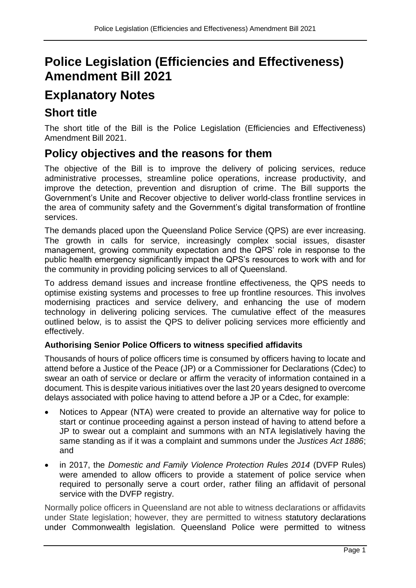# **Police Legislation (Efficiencies and Effectiveness) Amendment Bill 2021**

# **Explanatory Notes**

# **Short title**

The short title of the Bill is the Police Legislation (Efficiencies and Effectiveness) Amendment Bill 2021.

# **Policy objectives and the reasons for them**

The objective of the Bill is to improve the delivery of policing services, reduce administrative processes, streamline police operations, increase productivity, and improve the detection, prevention and disruption of crime. The Bill supports the Government's Unite and Recover objective to deliver world-class frontline services in the area of community safety and the Government's digital transformation of frontline services.

The demands placed upon the Queensland Police Service (QPS) are ever increasing. The growth in calls for service, increasingly complex social issues, disaster management, growing community expectation and the QPS' role in response to the public health emergency significantly impact the QPS's resources to work with and for the community in providing policing services to all of Queensland.

To address demand issues and increase frontline effectiveness, the QPS needs to optimise existing systems and processes to free up frontline resources. This involves modernising practices and service delivery, and enhancing the use of modern technology in delivering policing services. The cumulative effect of the measures outlined below, is to assist the QPS to deliver policing services more efficiently and effectively.

## **Authorising Senior Police Officers to witness specified affidavits**

Thousands of hours of police officers time is consumed by officers having to locate and attend before a Justice of the Peace (JP) or a Commissioner for Declarations (Cdec) to swear an oath of service or declare or affirm the veracity of information contained in a document. This is despite various initiatives over the last 20 years designed to overcome delays associated with police having to attend before a JP or a Cdec, for example:

- Notices to Appear (NTA) were created to provide an alternative way for police to start or continue proceeding against a person instead of having to attend before a JP to swear out a complaint and summons with an NTA legislatively having the same standing as if it was a complaint and summons under the *Justices Act 1886*; and
- in 2017, the *Domestic and Family Violence Protection Rules 2014* (DVFP Rules) were amended to allow officers to provide a statement of police service when required to personally serve a court order, rather filing an affidavit of personal service with the DVFP registry.

Normally police officers in Queensland are not able to witness declarations or affidavits under State legislation; however, they are permitted to witness statutory declarations under Commonwealth legislation. Queensland Police were permitted to witness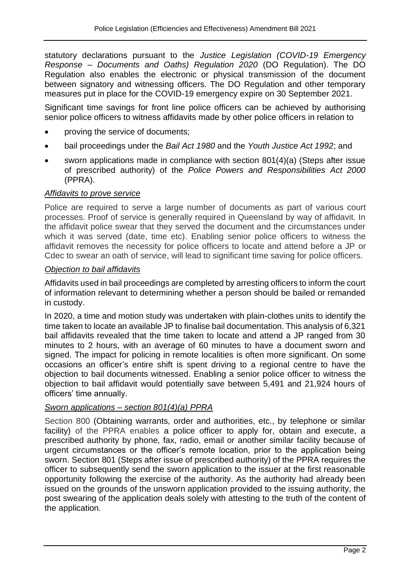statutory declarations pursuant to the *Justice Legislation (COVID-19 Emergency Response – Documents and Oaths) Regulation 2020* (DO Regulation). The DO Regulation also enables the electronic or physical transmission of the document between signatory and witnessing officers. The DO Regulation and other temporary measures put in place for the COVID-19 emergency expire on 30 September 2021.

Significant time savings for front line police officers can be achieved by authorising senior police officers to witness affidavits made by other police officers in relation to

- proving the service of documents;
- bail proceedings under the *Bail Act 1980* and the *Youth Justice Act 1992*; and
- sworn applications made in compliance with section 801(4)(a) (Steps after issue of prescribed authority) of the *Police Powers and Responsibilities Act 2000* (PPRA).

#### *Affidavits to prove service*

Police are required to serve a large number of documents as part of various court processes. Proof of service is generally required in Queensland by way of affidavit. In the affidavit police swear that they served the document and the circumstances under which it was served (date, time etc). Enabling senior police officers to witness the affidavit removes the necessity for police officers to locate and attend before a JP or Cdec to swear an oath of service, will lead to significant time saving for police officers.

#### *Objection to bail affidavits*

Affidavits used in bail proceedings are completed by arresting officers to inform the court of information relevant to determining whether a person should be bailed or remanded in custody.

In 2020, a time and motion study was undertaken with plain-clothes units to identify the time taken to locate an available JP to finalise bail documentation. This analysis of 6,321 bail affidavits revealed that the time taken to locate and attend a JP ranged from 30 minutes to 2 hours, with an average of 60 minutes to have a document sworn and signed. The impact for policing in remote localities is often more significant. On some occasions an officer's entire shift is spent driving to a regional centre to have the objection to bail documents witnessed. Enabling a senior police officer to witness the objection to bail affidavit would potentially save between 5,491 and 21,924 hours of officers' time annually.

## *Sworn applications – section 801(4)(a) PPRA*

Section 800 (Obtaining warrants, order and authorities, etc., by telephone or similar facility) of the PPRA enables a police officer to apply for, obtain and execute, a prescribed authority by phone, fax, radio, email or another similar facility because of urgent circumstances or the officer's remote location, prior to the application being sworn. Section 801 (Steps after issue of prescribed authority) of the PPRA requires the officer to subsequently send the sworn application to the issuer at the first reasonable opportunity following the exercise of the authority. As the authority had already been issued on the grounds of the unsworn application provided to the issuing authority, the post swearing of the application deals solely with attesting to the truth of the content of the application.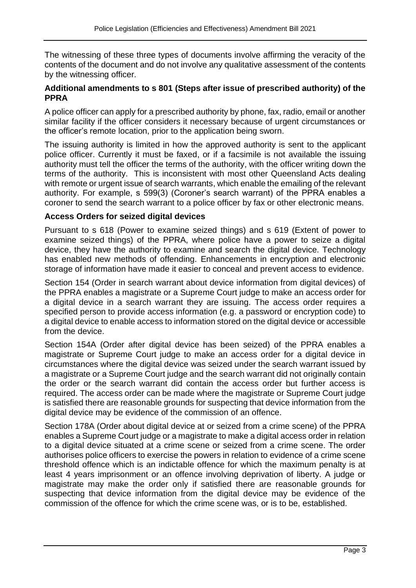The witnessing of these three types of documents involve affirming the veracity of the contents of the document and do not involve any qualitative assessment of the contents by the witnessing officer.

#### **Additional amendments to s 801 (Steps after issue of prescribed authority) of the PPRA**

A police officer can apply for a prescribed authority by phone, fax, radio, email or another similar facility if the officer considers it necessary because of urgent circumstances or the officer's remote location, prior to the application being sworn.

The issuing authority is limited in how the approved authority is sent to the applicant police officer. Currently it must be faxed, or if a facsimile is not available the issuing authority must tell the officer the terms of the authority, with the officer writing down the terms of the authority. This is inconsistent with most other Queensland Acts dealing with remote or urgent issue of search warrants, which enable the emailing of the relevant authority. For example, s 599(3) (Coroner's search warrant) of the PPRA enables a coroner to send the search warrant to a police officer by fax or other electronic means.

#### **Access Orders for seized digital devices**

Pursuant to s 618 (Power to examine seized things) and s 619 (Extent of power to examine seized things) of the PPRA, where police have a power to seize a digital device, they have the authority to examine and search the digital device. Technology has enabled new methods of offending. Enhancements in encryption and electronic storage of information have made it easier to conceal and prevent access to evidence.

Section 154 (Order in search warrant about device information from digital devices) of the PPRA enables a magistrate or a Supreme Court judge to make an access order for a digital device in a search warrant they are issuing. The access order requires a specified person to provide access information (e.g. a password or encryption code) to a digital device to enable access to information stored on the digital device or accessible from the device.

Section 154A (Order after digital device has been seized) of the PPRA enables a magistrate or Supreme Court judge to make an access order for a digital device in circumstances where the digital device was seized under the search warrant issued by a magistrate or a Supreme Court judge and the search warrant did not originally contain the order or the search warrant did contain the access order but further access is required. The access order can be made where the magistrate or Supreme Court judge is satisfied there are reasonable grounds for suspecting that device information from the digital device may be evidence of the commission of an offence.

Section 178A (Order about digital device at or seized from a crime scene) of the PPRA enables a Supreme Court judge or a magistrate to make a digital access order in relation to a digital device situated at a crime scene or seized from a crime scene. The order authorises police officers to exercise the powers in relation to evidence of a crime scene threshold offence which is an indictable offence for which the maximum penalty is at least 4 years imprisonment or an offence involving deprivation of liberty. A judge or magistrate may make the order only if satisfied there are reasonable grounds for suspecting that device information from the digital device may be evidence of the commission of the offence for which the crime scene was, or is to be, established.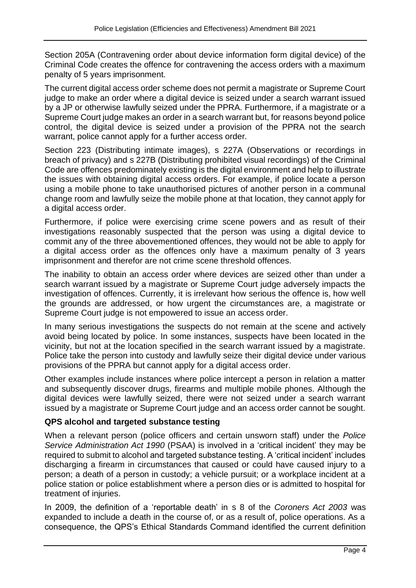Section 205A (Contravening order about device information form digital device) of the Criminal Code creates the offence for contravening the access orders with a maximum penalty of 5 years imprisonment.

The current digital access order scheme does not permit a magistrate or Supreme Court judge to make an order where a digital device is seized under a search warrant issued by a JP or otherwise lawfully seized under the PPRA. Furthermore, if a magistrate or a Supreme Court judge makes an order in a search warrant but, for reasons beyond police control, the digital device is seized under a provision of the PPRA not the search warrant, police cannot apply for a further access order.

Section 223 (Distributing intimate images), s 227A (Observations or recordings in breach of privacy) and s 227B (Distributing prohibited visual recordings) of the Criminal Code are offences predominately existing is the digital environment and help to illustrate the issues with obtaining digital access orders. For example, if police locate a person using a mobile phone to take unauthorised pictures of another person in a communal change room and lawfully seize the mobile phone at that location, they cannot apply for a digital access order.

Furthermore, if police were exercising crime scene powers and as result of their investigations reasonably suspected that the person was using a digital device to commit any of the three abovementioned offences, they would not be able to apply for a digital access order as the offences only have a maximum penalty of 3 years imprisonment and therefor are not crime scene threshold offences.

The inability to obtain an access order where devices are seized other than under a search warrant issued by a magistrate or Supreme Court judge adversely impacts the investigation of offences. Currently, it is irrelevant how serious the offence is, how well the grounds are addressed, or how urgent the circumstances are, a magistrate or Supreme Court judge is not empowered to issue an access order.

In many serious investigations the suspects do not remain at the scene and actively avoid being located by police. In some instances, suspects have been located in the vicinity, but not at the location specified in the search warrant issued by a magistrate. Police take the person into custody and lawfully seize their digital device under various provisions of the PPRA but cannot apply for a digital access order.

Other examples include instances where police intercept a person in relation a matter and subsequently discover drugs, firearms and multiple mobile phones. Although the digital devices were lawfully seized, there were not seized under a search warrant issued by a magistrate or Supreme Court judge and an access order cannot be sought.

## **QPS alcohol and targeted substance testing**

When a relevant person (police officers and certain unsworn staff) under the *Police Service Administration Act 1990* (PSAA) is involved in a 'critical incident' they may be required to submit to alcohol and targeted substance testing. A 'critical incident' includes discharging a firearm in circumstances that caused or could have caused injury to a person; a death of a person in custody; a vehicle pursuit; or a workplace incident at a police station or police establishment where a person dies or is admitted to hospital for treatment of injuries.

In 2009, the definition of a 'reportable death' in s 8 of the *Coroners Act 2003* was expanded to include a death in the course of, or as a result of, police operations. As a consequence, the QPS's Ethical Standards Command identified the current definition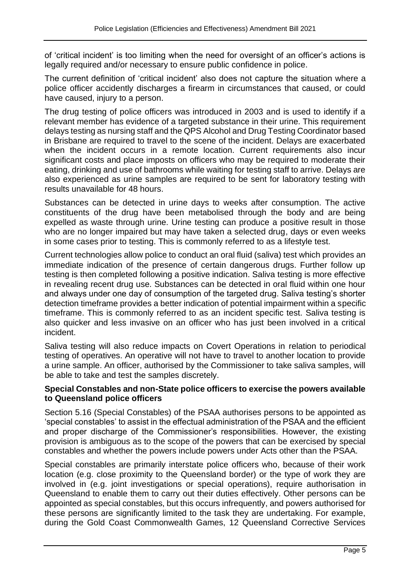of 'critical incident' is too limiting when the need for oversight of an officer's actions is legally required and/or necessary to ensure public confidence in police.

The current definition of 'critical incident' also does not capture the situation where a police officer accidently discharges a firearm in circumstances that caused, or could have caused, injury to a person.

The drug testing of police officers was introduced in 2003 and is used to identify if a relevant member has evidence of a targeted substance in their urine. This requirement delays testing as nursing staff and the QPS Alcohol and Drug Testing Coordinator based in Brisbane are required to travel to the scene of the incident. Delays are exacerbated when the incident occurs in a remote location. Current requirements also incur significant costs and place imposts on officers who may be required to moderate their eating, drinking and use of bathrooms while waiting for testing staff to arrive. Delays are also experienced as urine samples are required to be sent for laboratory testing with results unavailable for 48 hours.

Substances can be detected in urine days to weeks after consumption. The active constituents of the drug have been metabolised through the body and are being expelled as waste through urine. Urine testing can produce a positive result in those who are no longer impaired but may have taken a selected drug, days or even weeks in some cases prior to testing. This is commonly referred to as a lifestyle test.

Current technologies allow police to conduct an oral fluid (saliva) test which provides an immediate indication of the presence of certain dangerous drugs. Further follow up testing is then completed following a positive indication. Saliva testing is more effective in revealing recent drug use. Substances can be detected in oral fluid within one hour and always under one day of consumption of the targeted drug. Saliva testing's shorter detection timeframe provides a better indication of potential impairment within a specific timeframe. This is commonly referred to as an incident specific test. Saliva testing is also quicker and less invasive on an officer who has just been involved in a critical incident.

Saliva testing will also reduce impacts on Covert Operations in relation to periodical testing of operatives. An operative will not have to travel to another location to provide a urine sample. An officer, authorised by the Commissioner to take saliva samples, will be able to take and test the samples discretely.

#### **Special Constables and non-State police officers to exercise the powers available to Queensland police officers**

Section 5.16 (Special Constables) of the PSAA authorises persons to be appointed as 'special constables' to assist in the effectual administration of the PSAA and the efficient and proper discharge of the Commissioner's responsibilities. However, the existing provision is ambiguous as to the scope of the powers that can be exercised by special constables and whether the powers include powers under Acts other than the PSAA.

Special constables are primarily interstate police officers who, because of their work location (e.g. close proximity to the Queensland border) or the type of work they are involved in (e.g. joint investigations or special operations), require authorisation in Queensland to enable them to carry out their duties effectively. Other persons can be appointed as special constables, but this occurs infrequently, and powers authorised for these persons are significantly limited to the task they are undertaking. For example, during the Gold Coast Commonwealth Games, 12 Queensland Corrective Services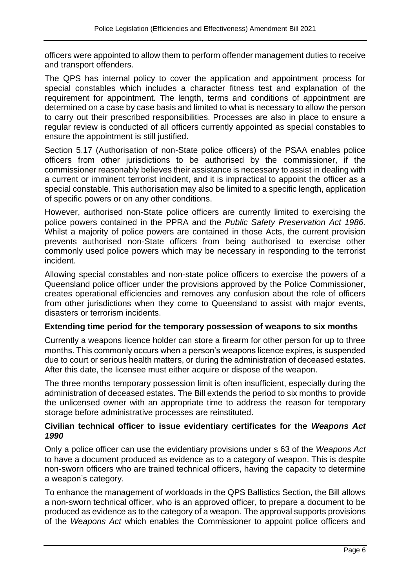officers were appointed to allow them to perform offender management duties to receive and transport offenders.

The QPS has internal policy to cover the application and appointment process for special constables which includes a character fitness test and explanation of the requirement for appointment. The length, terms and conditions of appointment are determined on a case by case basis and limited to what is necessary to allow the person to carry out their prescribed responsibilities. Processes are also in place to ensure a regular review is conducted of all officers currently appointed as special constables to ensure the appointment is still justified.

Section 5.17 (Authorisation of non-State police officers) of the PSAA enables police officers from other jurisdictions to be authorised by the commissioner, if the commissioner reasonably believes their assistance is necessary to assist in dealing with a current or imminent terrorist incident, and it is impractical to appoint the officer as a special constable. This authorisation may also be limited to a specific length, application of specific powers or on any other conditions.

However, authorised non-State police officers are currently limited to exercising the police powers contained in the PPRA and the *Public Safety Preservation Act 1986.*  Whilst a majority of police powers are contained in those Acts, the current provision prevents authorised non-State officers from being authorised to exercise other commonly used police powers which may be necessary in responding to the terrorist incident.

Allowing special constables and non-state police officers to exercise the powers of a Queensland police officer under the provisions approved by the Police Commissioner, creates operational efficiencies and removes any confusion about the role of officers from other jurisdictions when they come to Queensland to assist with major events, disasters or terrorism incidents.

#### **Extending time period for the temporary possession of weapons to six months**

Currently a weapons licence holder can store a firearm for other person for up to three months. This commonly occurs when a person's weapons licence expires, is suspended due to court or serious health matters, or during the administration of deceased estates. After this date, the licensee must either acquire or dispose of the weapon.

The three months temporary possession limit is often insufficient, especially during the administration of deceased estates. The Bill extends the period to six months to provide the unlicensed owner with an appropriate time to address the reason for temporary storage before administrative processes are reinstituted.

#### **Civilian technical officer to issue evidentiary certificates for the** *Weapons Act 1990*

Only a police officer can use the evidentiary provisions under s 63 of the *Weapons Act* to have a document produced as evidence as to a category of weapon. This is despite non-sworn officers who are trained technical officers, having the capacity to determine a weapon's category.

To enhance the management of workloads in the QPS Ballistics Section, the Bill allows a non-sworn technical officer, who is an approved officer, to prepare a document to be produced as evidence as to the category of a weapon. The approval supports provisions of the *Weapons Act* which enables the Commissioner to appoint police officers and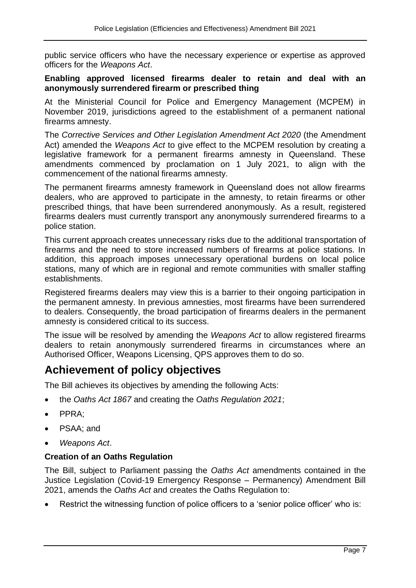public service officers who have the necessary experience or expertise as approved officers for the *Weapons Act*.

#### **Enabling approved licensed firearms dealer to retain and deal with an anonymously surrendered firearm or prescribed thing**

At the Ministerial Council for Police and Emergency Management (MCPEM) in November 2019, jurisdictions agreed to the establishment of a permanent national firearms amnesty.

The *Corrective Services and Other Legislation Amendment Act 2020* (the Amendment Act) amended the *Weapons Act* to give effect to the MCPEM resolution by creating a legislative framework for a permanent firearms amnesty in Queensland. These amendments commenced by proclamation on 1 July 2021, to align with the commencement of the national firearms amnesty.

The permanent firearms amnesty framework in Queensland does not allow firearms dealers, who are approved to participate in the amnesty, to retain firearms or other prescribed things, that have been surrendered anonymously. As a result, registered firearms dealers must currently transport any anonymously surrendered firearms to a police station.

This current approach creates unnecessary risks due to the additional transportation of firearms and the need to store increased numbers of firearms at police stations. In addition, this approach imposes unnecessary operational burdens on local police stations, many of which are in regional and remote communities with smaller staffing establishments.

Registered firearms dealers may view this is a barrier to their ongoing participation in the permanent amnesty. In previous amnesties, most firearms have been surrendered to dealers. Consequently, the broad participation of firearms dealers in the permanent amnesty is considered critical to its success.

The issue will be resolved by amending the *Weapons Act* to allow registered firearms dealers to retain anonymously surrendered firearms in circumstances where an Authorised Officer, Weapons Licensing, QPS approves them to do so.

## **Achievement of policy objectives**

The Bill achieves its objectives by amending the following Acts:

- the *Oaths Act 1867* and creating the *Oaths Regulation 2021*;
- PPRA;
- PSAA; and
- *Weapons Act*.

## **Creation of an Oaths Regulation**

The Bill, subject to Parliament passing the *Oaths Act* amendments contained in the Justice Legislation (Covid-19 Emergency Response – Permanency) Amendment Bill 2021, amends the *Oaths Act* and creates the Oaths Regulation to:

Restrict the witnessing function of police officers to a 'senior police officer' who is: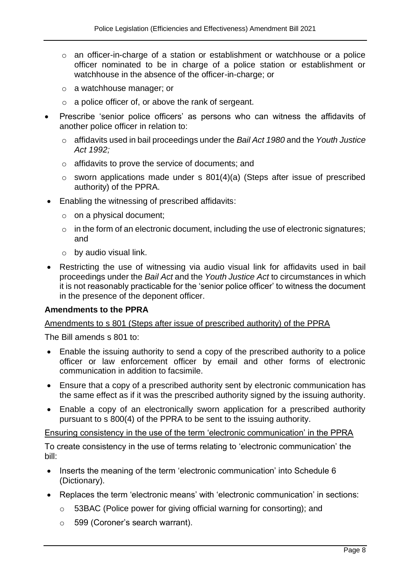- o an officer-in-charge of a station or establishment or watchhouse or a police officer nominated to be in charge of a police station or establishment or watchhouse in the absence of the officer-in-charge; or
- o a watchhouse manager; or
- o a police officer of, or above the rank of sergeant.
- Prescribe 'senior police officers' as persons who can witness the affidavits of another police officer in relation to:
	- o affidavits used in bail proceedings under the *Bail Act 1980* and the *Youth Justice Act 1992;*
	- o affidavits to prove the service of documents; and
	- $\circ$  sworn applications made under s 801(4)(a) (Steps after issue of prescribed authority) of the PPRA.
- Enabling the witnessing of prescribed affidavits:
	- o on a physical document;
	- $\circ$  in the form of an electronic document, including the use of electronic signatures; and
	- $\circ$  by audio visual link.
- Restricting the use of witnessing via audio visual link for affidavits used in bail proceedings under the *Bail Act* and the *Youth Justice Act* to circumstances in which it is not reasonably practicable for the 'senior police officer' to witness the document in the presence of the deponent officer.

#### **Amendments to the PPRA**

#### Amendments to s 801 (Steps after issue of prescribed authority) of the PPRA

The Bill amends s 801 to:

- Enable the issuing authority to send a copy of the prescribed authority to a police officer or law enforcement officer by email and other forms of electronic communication in addition to facsimile.
- Ensure that a copy of a prescribed authority sent by electronic communication has the same effect as if it was the prescribed authority signed by the issuing authority.
- Enable a copy of an electronically sworn application for a prescribed authority pursuant to s 800(4) of the PPRA to be sent to the issuing authority.

Ensuring consistency in the use of the term 'electronic communication' in the PPRA

To create consistency in the use of terms relating to 'electronic communication' the bill:

- Inserts the meaning of the term 'electronic communication' into Schedule 6 (Dictionary).
- Replaces the term 'electronic means' with 'electronic communication' in sections:
	- o 53BAC (Police power for giving official warning for consorting); and
	- o 599 (Coroner's search warrant).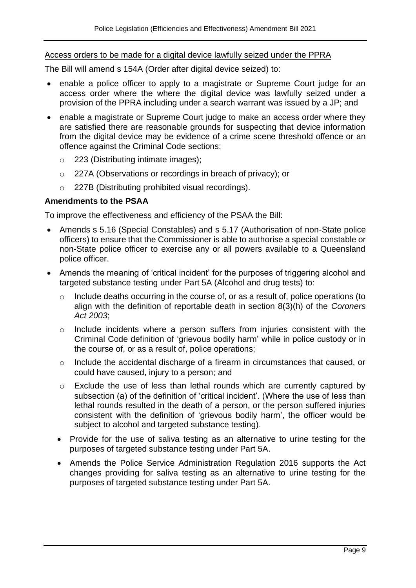#### Access orders to be made for a digital device lawfully seized under the PPRA

The Bill will amend s 154A (Order after digital device seized) to:

- enable a police officer to apply to a magistrate or Supreme Court judge for an access order where the where the digital device was lawfully seized under a provision of the PPRA including under a search warrant was issued by a JP; and
- enable a magistrate or Supreme Court judge to make an access order where they are satisfied there are reasonable grounds for suspecting that device information from the digital device may be evidence of a crime scene threshold offence or an offence against the Criminal Code sections:
	- o 223 (Distributing intimate images);
	- o 227A (Observations or recordings in breach of privacy); or
	- o 227B (Distributing prohibited visual recordings).

#### **Amendments to the PSAA**

To improve the effectiveness and efficiency of the PSAA the Bill:

- Amends s 5.16 (Special Constables) and s 5.17 (Authorisation of non-State police officers) to ensure that the Commissioner is able to authorise a special constable or non-State police officer to exercise any or all powers available to a Queensland police officer.
- Amends the meaning of 'critical incident' for the purposes of triggering alcohol and targeted substance testing under Part 5A (Alcohol and drug tests) to:
	- o Include deaths occurring in the course of, or as a result of, police operations (to align with the definition of reportable death in section 8(3)(h) of the *Coroners Act 2003*;
	- o Include incidents where a person suffers from injuries consistent with the Criminal Code definition of 'grievous bodily harm' while in police custody or in the course of, or as a result of, police operations;
	- o Include the accidental discharge of a firearm in circumstances that caused, or could have caused, injury to a person; and
	- $\circ$  Exclude the use of less than lethal rounds which are currently captured by subsection (a) of the definition of 'critical incident'. (Where the use of less than lethal rounds resulted in the death of a person, or the person suffered injuries consistent with the definition of 'grievous bodily harm', the officer would be subject to alcohol and targeted substance testing).
	- Provide for the use of saliva testing as an alternative to urine testing for the purposes of targeted substance testing under Part 5A.
	- Amends the Police Service Administration Regulation 2016 supports the Act changes providing for saliva testing as an alternative to urine testing for the purposes of targeted substance testing under Part 5A.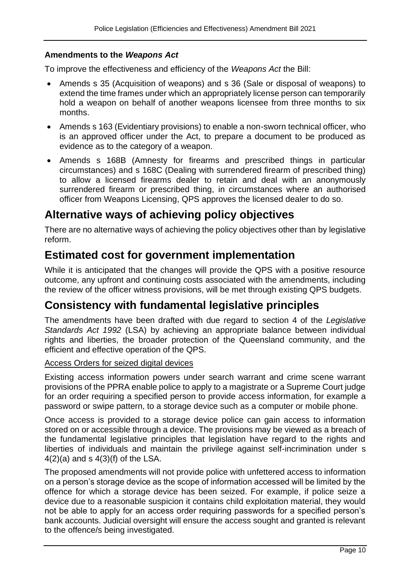#### **Amendments to the** *Weapons Act*

To improve the effectiveness and efficiency of the *Weapons Act* the Bill:

- Amends s 35 (Acquisition of weapons) and s 36 (Sale or disposal of weapons) to extend the time frames under which an appropriately license person can temporarily hold a weapon on behalf of another weapons licensee from three months to six months.
- Amends s 163 (Evidentiary provisions) to enable a non-sworn technical officer, who is an approved officer under the Act, to prepare a document to be produced as evidence as to the category of a weapon.
- Amends s 168B (Amnesty for firearms and prescribed things in particular circumstances) and s 168C (Dealing with surrendered firearm of prescribed thing) to allow a licensed firearms dealer to retain and deal with an anonymously surrendered firearm or prescribed thing, in circumstances where an authorised officer from Weapons Licensing, QPS approves the licensed dealer to do so.

# **Alternative ways of achieving policy objectives**

There are no alternative ways of achieving the policy objectives other than by legislative reform.

# **Estimated cost for government implementation**

While it is anticipated that the changes will provide the QPS with a positive resource outcome, any upfront and continuing costs associated with the amendments, including the review of the officer witness provisions, will be met through existing QPS budgets.

# **Consistency with fundamental legislative principles**

The amendments have been drafted with due regard to section 4 of the *Legislative Standards Act 1992* (LSA) by achieving an appropriate balance between individual rights and liberties, the broader protection of the Queensland community, and the efficient and effective operation of the QPS.

#### Access Orders for seized digital devices

Existing access information powers under search warrant and crime scene warrant provisions of the PPRA enable police to apply to a magistrate or a Supreme Court judge for an order requiring a specified person to provide access information, for example a password or swipe pattern, to a storage device such as a computer or mobile phone.

Once access is provided to a storage device police can gain access to information stored on or accessible through a device. The provisions may be viewed as a breach of the fundamental legislative principles that legislation have regard to the rights and liberties of individuals and maintain the privilege against self-incrimination under s  $4(2)(a)$  and s  $4(3)(f)$  of the LSA.

The proposed amendments will not provide police with unfettered access to information on a person's storage device as the scope of information accessed will be limited by the offence for which a storage device has been seized. For example, if police seize a device due to a reasonable suspicion it contains child exploitation material, they would not be able to apply for an access order requiring passwords for a specified person's bank accounts. Judicial oversight will ensure the access sought and granted is relevant to the offence/s being investigated.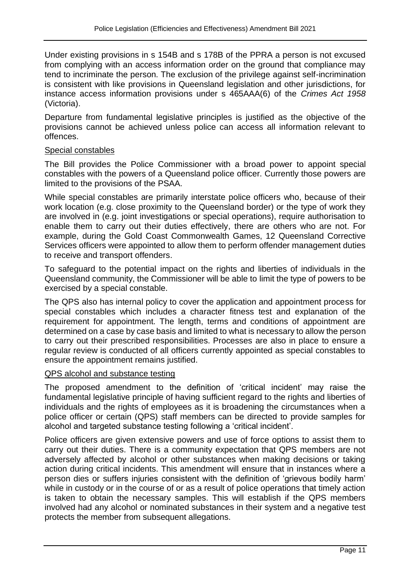Under existing provisions in s 154B and s 178B of the PPRA a person is not excused from complying with an access information order on the ground that compliance may tend to incriminate the person. The exclusion of the privilege against self-incrimination is consistent with like provisions in Queensland legislation and other jurisdictions, for instance access information provisions under s 465AAA(6) of the *Crimes Act 1958*  (Victoria).

Departure from fundamental legislative principles is justified as the objective of the provisions cannot be achieved unless police can access all information relevant to offences.

#### Special constables

The Bill provides the Police Commissioner with a broad power to appoint special constables with the powers of a Queensland police officer. Currently those powers are limited to the provisions of the PSAA.

While special constables are primarily interstate police officers who, because of their work location (e.g. close proximity to the Queensland border) or the type of work they are involved in (e.g. joint investigations or special operations), require authorisation to enable them to carry out their duties effectively, there are others who are not. For example, during the Gold Coast Commonwealth Games, 12 Queensland Corrective Services officers were appointed to allow them to perform offender management duties to receive and transport offenders.

To safeguard to the potential impact on the rights and liberties of individuals in the Queensland community, the Commissioner will be able to limit the type of powers to be exercised by a special constable.

The QPS also has internal policy to cover the application and appointment process for special constables which includes a character fitness test and explanation of the requirement for appointment. The length, terms and conditions of appointment are determined on a case by case basis and limited to what is necessary to allow the person to carry out their prescribed responsibilities. Processes are also in place to ensure a regular review is conducted of all officers currently appointed as special constables to ensure the appointment remains justified.

#### QPS alcohol and substance testing

The proposed amendment to the definition of 'critical incident' may raise the fundamental legislative principle of having sufficient regard to the rights and liberties of individuals and the rights of employees as it is broadening the circumstances when a police officer or certain (QPS) staff members can be directed to provide samples for alcohol and targeted substance testing following a 'critical incident'.

Police officers are given extensive powers and use of force options to assist them to carry out their duties. There is a community expectation that QPS members are not adversely affected by alcohol or other substances when making decisions or taking action during critical incidents. This amendment will ensure that in instances where a person dies or suffers injuries consistent with the definition of 'grievous bodily harm' while in custody or in the course of or as a result of police operations that timely action is taken to obtain the necessary samples. This will establish if the QPS members involved had any alcohol or nominated substances in their system and a negative test protects the member from subsequent allegations.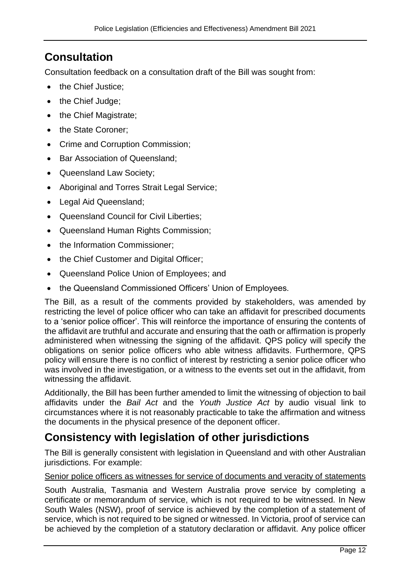# **Consultation**

Consultation feedback on a consultation draft of the Bill was sought from:

- the Chief Justice;
- the Chief Judge;
- the Chief Magistrate;
- the State Coroner;
- Crime and Corruption Commission;
- Bar Association of Queensland;
- Queensland Law Society;
- Aboriginal and Torres Strait Legal Service:
- Legal Aid Queensland;
- Queensland Council for Civil Liberties;
- Queensland Human Rights Commission;
- the Information Commissioner;
- the Chief Customer and Digital Officer;
- Queensland Police Union of Employees; and
- the Queensland Commissioned Officers' Union of Employees.

The Bill, as a result of the comments provided by stakeholders, was amended by restricting the level of police officer who can take an affidavit for prescribed documents to a 'senior police officer'. This will reinforce the importance of ensuring the contents of the affidavit are truthful and accurate and ensuring that the oath or affirmation is properly administered when witnessing the signing of the affidavit. QPS policy will specify the obligations on senior police officers who able witness affidavits. Furthermore, QPS policy will ensure there is no conflict of interest by restricting a senior police officer who was involved in the investigation, or a witness to the events set out in the affidavit, from witnessing the affidavit.

Additionally, the Bill has been further amended to limit the witnessing of objection to bail affidavits under the *Bail Act* and the *Youth Justice Act* by audio visual link to circumstances where it is not reasonably practicable to take the affirmation and witness the documents in the physical presence of the deponent officer.

## **Consistency with legislation of other jurisdictions**

The Bill is generally consistent with legislation in Queensland and with other Australian jurisdictions. For example:

#### Senior police officers as witnesses for service of documents and veracity of statements

South Australia, Tasmania and Western Australia prove service by completing a certificate or memorandum of service, which is not required to be witnessed. In New South Wales (NSW), proof of service is achieved by the completion of a statement of service, which is not required to be signed or witnessed. In Victoria, proof of service can be achieved by the completion of a statutory declaration or affidavit. Any police officer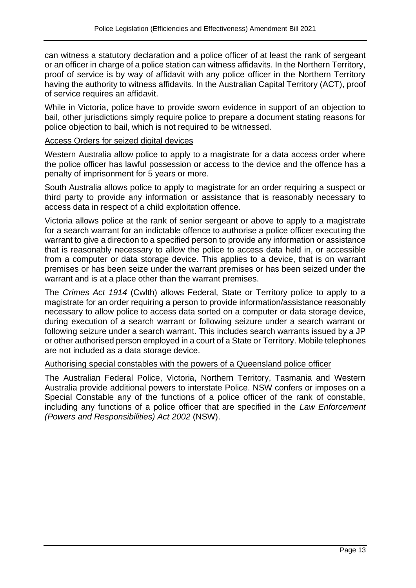can witness a statutory declaration and a police officer of at least the rank of sergeant or an officer in charge of a police station can witness affidavits. In the Northern Territory, proof of service is by way of affidavit with any police officer in the Northern Territory having the authority to witness affidavits. In the Australian Capital Territory (ACT), proof of service requires an affidavit.

While in Victoria, police have to provide sworn evidence in support of an objection to bail, other jurisdictions simply require police to prepare a document stating reasons for police objection to bail, which is not required to be witnessed.

#### Access Orders for seized digital devices

Western Australia allow police to apply to a magistrate for a data access order where the police officer has lawful possession or access to the device and the offence has a penalty of imprisonment for 5 years or more.

South Australia allows police to apply to magistrate for an order requiring a suspect or third party to provide any information or assistance that is reasonably necessary to access data in respect of a child exploitation offence.

Victoria allows police at the rank of senior sergeant or above to apply to a magistrate for a search warrant for an indictable offence to authorise a police officer executing the warrant to give a direction to a specified person to provide any information or assistance that is reasonably necessary to allow the police to access data held in, or accessible from a computer or data storage device. This applies to a device, that is on warrant premises or has been seize under the warrant premises or has been seized under the warrant and is at a place other than the warrant premises.

The *Crimes Act 1914* (Cwlth) allows Federal, State or Territory police to apply to a magistrate for an order requiring a person to provide information/assistance reasonably necessary to allow police to access data sorted on a computer or data storage device, during execution of a search warrant or following seizure under a search warrant or following seizure under a search warrant. This includes search warrants issued by a JP or other authorised person employed in a court of a State or Territory. Mobile telephones are not included as a data storage device.

#### Authorising special constables with the powers of a Queensland police officer

The Australian Federal Police, Victoria, Northern Territory, Tasmania and Western Australia provide additional powers to interstate Police. NSW confers or imposes on a Special Constable any of the functions of a police officer of the rank of constable, including any functions of a police officer that are specified in the *Law Enforcement (Powers and Responsibilities) Act 2002* (NSW).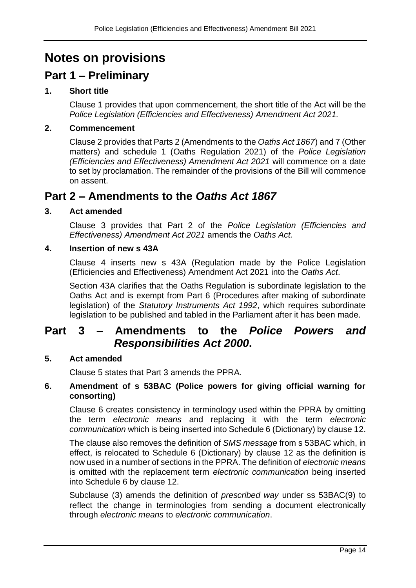# **Notes on provisions**

# **Part 1 – Preliminary**

## **1. Short title**

Clause 1 provides that upon commencement, the short title of the Act will be the *Police Legislation (Efficiencies and Effectiveness) Amendment Act 2021.*

#### **2. Commencement**

Clause 2 provides that Parts 2 (Amendments to the *Oaths Act 1867*) and 7 (Other matters) and schedule 1 (Oaths Regulation 2021) of the *Police Legislation (Efficiencies and Effectiveness) Amendment Act 2021* will commence on a date to set by proclamation. The remainder of the provisions of the Bill will commence on assent.

## **Part 2 – Amendments to the** *Oaths Act 1867*

#### **3. Act amended**

Clause 3 provides that Part 2 of the *Police Legislation (Efficiencies and Effectiveness) Amendment Act 2021* amends the *Oaths Act.*

#### **4. Insertion of new s 43A**

Clause 4 inserts new s 43A (Regulation made by the Police Legislation (Efficiencies and Effectiveness) Amendment Act 2021 into the *Oaths Act*.

Section 43A clarifies that the Oaths Regulation is subordinate legislation to the Oaths Act and is exempt from Part 6 (Procedures after making of subordinate legislation) of the *Statutory Instruments Act 1992*, which requires subordinate legislation to be published and tabled in the Parliament after it has been made.

## **Part 3 – Amendments to the** *Police Powers and Responsibilities Act 2000***.**

#### **5. Act amended**

Clause 5 states that Part 3 amends the PPRA.

#### **6. Amendment of s 53BAC (Police powers for giving official warning for consorting)**

Clause 6 creates consistency in terminology used within the PPRA by omitting the term *electronic means* and replacing it with the term *electronic communication* which is being inserted into Schedule 6 (Dictionary) by clause 12.

The clause also removes the definition of *SMS message* from s 53BAC which, in effect, is relocated to Schedule 6 (Dictionary) by clause 12 as the definition is now used in a number of sections in the PPRA. The definition of *electronic means* is omitted with the replacement term *electronic communication* being inserted into Schedule 6 by clause 12.

Subclause (3) amends the definition of *prescribed way* under ss 53BAC(9) to reflect the change in terminologies from sending a document electronically through *electronic means* to *electronic communication*.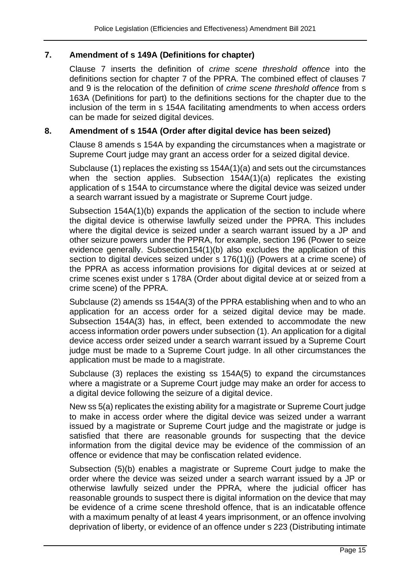#### **7. Amendment of s 149A (Definitions for chapter)**

Clause 7 inserts the definition of *crime scene threshold offence* into the definitions section for chapter 7 of the PPRA. The combined effect of clauses 7 and 9 is the relocation of the definition of *crime scene threshold offence* from s 163A (Definitions for part) to the definitions sections for the chapter due to the inclusion of the term in s 154A facilitating amendments to when access orders can be made for seized digital devices.

#### **8. Amendment of s 154A (Order after digital device has been seized)**

Clause 8 amends s 154A by expanding the circumstances when a magistrate or Supreme Court judge may grant an access order for a seized digital device.

Subclause (1) replaces the existing ss 154A(1)(a) and sets out the circumstances when the section applies. Subsection 154A(1)(a) replicates the existing application of s 154A to circumstance where the digital device was seized under a search warrant issued by a magistrate or Supreme Court judge.

Subsection 154A(1)(b) expands the application of the section to include where the digital device is otherwise lawfully seized under the PPRA. This includes where the digital device is seized under a search warrant issued by a JP and other seizure powers under the PPRA, for example, section 196 (Power to seize evidence generally. Subsection154(1)(b) also excludes the application of this section to digital devices seized under s 176(1)(j) (Powers at a crime scene) of the PPRA as access information provisions for digital devices at or seized at crime scenes exist under s 178A (Order about digital device at or seized from a crime scene) of the PPRA.

Subclause (2) amends ss 154A(3) of the PPRA establishing when and to who an application for an access order for a seized digital device may be made. Subsection 154A(3) has, in effect, been extended to accommodate the new access information order powers under subsection (1). An application for a digital device access order seized under a search warrant issued by a Supreme Court judge must be made to a Supreme Court judge. In all other circumstances the application must be made to a magistrate.

Subclause (3) replaces the existing ss 154A(5) to expand the circumstances where a magistrate or a Supreme Court judge may make an order for access to a digital device following the seizure of a digital device.

New ss 5(a) replicates the existing ability for a magistrate or Supreme Court judge to make in access order where the digital device was seized under a warrant issued by a magistrate or Supreme Court judge and the magistrate or judge is satisfied that there are reasonable grounds for suspecting that the device information from the digital device may be evidence of the commission of an offence or evidence that may be confiscation related evidence.

Subsection (5)(b) enables a magistrate or Supreme Court judge to make the order where the device was seized under a search warrant issued by a JP or otherwise lawfully seized under the PPRA*,* where the judicial officer has reasonable grounds to suspect there is digital information on the device that may be evidence of a crime scene threshold offence, that is an indicatable offence with a maximum penalty of at least 4 years imprisonment, or an offence involving deprivation of liberty, or evidence of an offence under s 223 (Distributing intimate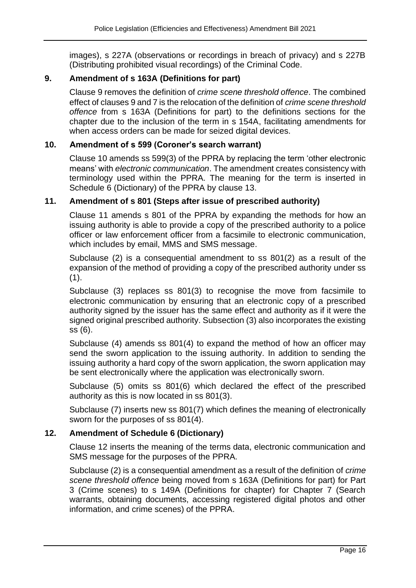images), s 227A (observations or recordings in breach of privacy) and s 227B (Distributing prohibited visual recordings) of the Criminal Code.

## **9. Amendment of s 163A (Definitions for part)**

Clause 9 removes the definition of *crime scene threshold offence*. The combined effect of clauses 9 and 7 is the relocation of the definition of *crime scene threshold offence* from s 163A (Definitions for part) to the definitions sections for the chapter due to the inclusion of the term in s 154A, facilitating amendments for when access orders can be made for seized digital devices.

#### **10. Amendment of s 599 (Coroner's search warrant)**

Clause 10 amends ss 599(3) of the PPRA by replacing the term 'other electronic means' with *electronic communication*. The amendment creates consistency with terminology used within the PPRA. The meaning for the term is inserted in Schedule 6 (Dictionary) of the PPRA by clause 13.

#### **11. Amendment of s 801 (Steps after issue of prescribed authority)**

Clause 11 amends s 801 of the PPRA by expanding the methods for how an issuing authority is able to provide a copy of the prescribed authority to a police officer or law enforcement officer from a facsimile to electronic communication, which includes by email, MMS and SMS message.

Subclause (2) is a consequential amendment to ss 801(2) as a result of the expansion of the method of providing a copy of the prescribed authority under ss  $(1).$ 

Subclause (3) replaces ss 801(3) to recognise the move from facsimile to electronic communication by ensuring that an electronic copy of a prescribed authority signed by the issuer has the same effect and authority as if it were the signed original prescribed authority. Subsection (3) also incorporates the existing ss (6).

Subclause (4) amends ss 801(4) to expand the method of how an officer may send the sworn application to the issuing authority. In addition to sending the issuing authority a hard copy of the sworn application, the sworn application may be sent electronically where the application was electronically sworn.

Subclause (5) omits ss 801(6) which declared the effect of the prescribed authority as this is now located in ss 801(3).

Subclause (7) inserts new ss 801(7) which defines the meaning of electronically sworn for the purposes of ss 801(4).

#### **12. Amendment of Schedule 6 (Dictionary)**

Clause 12 inserts the meaning of the terms data, electronic communication and SMS message for the purposes of the PPRA.

Subclause (2) is a consequential amendment as a result of the definition of *crime scene threshold offence* being moved from s 163A (Definitions for part) for Part 3 (Crime scenes) to s 149A (Definitions for chapter) for Chapter 7 (Search warrants, obtaining documents, accessing registered digital photos and other information, and crime scenes) of the PPRA.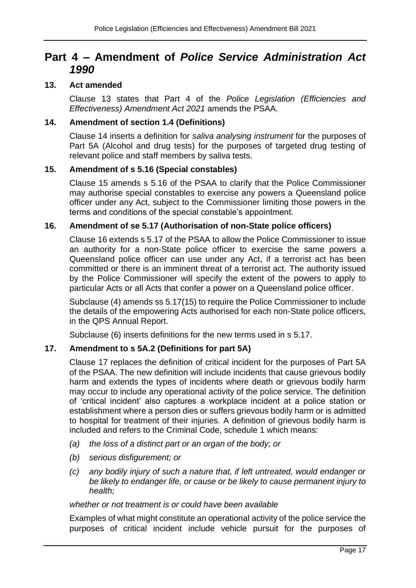# **Part 4 – Amendment of** *Police Service Administration Act 1990*

#### **13. Act amended**

Clause 13 states that Part 4 of the *Police Legislation (Efficiencies and Effectiveness) Amendment Act 2021* amends the PSAA.

#### **14. Amendment of section 1.4 (Definitions)**

Clause 14 inserts a definition for *saliva analysing instrument* for the purposes of Part 5A (Alcohol and drug tests) for the purposes of targeted drug testing of relevant police and staff members by saliva tests.

#### **15. Amendment of s 5.16 (Special constables)**

Clause 15 amends s 5.16 of the PSAA to clarify that the Police Commissioner may authorise special constables to exercise any powers a Queensland police officer under any Act, subject to the Commissioner limiting those powers in the terms and conditions of the special constable's appointment.

#### **16. Amendment of se 5.17 (Authorisation of non-State police officers)**

Clause 16 extends s 5.17 of the PSAA to allow the Police Commissioner to issue an authority for a non-State police officer to exercise the same powers a Queensland police officer can use under any Act, if a terrorist act has been committed or there is an imminent threat of a terrorist act. The authority issued by the Police Commissioner will specify the extent of the powers to apply to particular Acts or all Acts that confer a power on a Queensland police officer.

Subclause (4) amends ss 5.17(15) to require the Police Commissioner to include the details of the empowering Acts authorised for each non-State police officers, in the QPS Annual Report.

Subclause (6) inserts definitions for the new terms used in s 5.17.

## **17. Amendment to s 5A.2 (Definitions for part 5A)**

Clause 17 replaces the definition of critical incident for the purposes of Part 5A of the PSAA. The new definition will include incidents that cause grievous bodily harm and extends the types of incidents where death or grievous bodily harm may occur to include any operational activity of the police service. The definition of 'critical incident' also captures a workplace incident at a police station or establishment where a person dies or suffers grievous bodily harm or is admitted to hospital for treatment of their injuries. A definition of grievous bodily harm is included and refers to the Criminal Code, schedule 1 which means:

- *(a) the loss of a distinct part or an organ of the body; or*
- *(b) serious disfigurement; or*
- *(c) any bodily injury of such a nature that, if left untreated, would endanger or be likely to endanger life, or cause or be likely to cause permanent injury to health;*

#### *whether or not treatment is or could have been available*

Examples of what might constitute an operational activity of the police service the purposes of critical incident include vehicle pursuit for the purposes of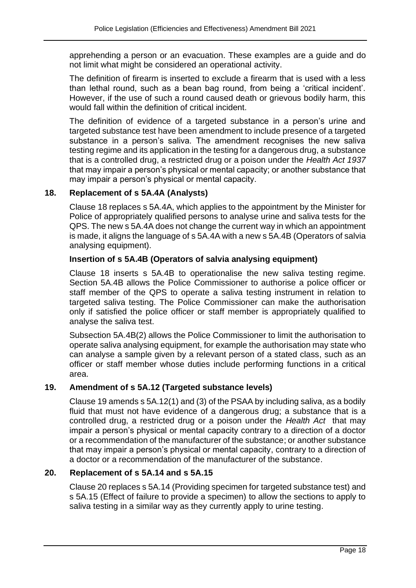apprehending a person or an evacuation. These examples are a guide and do not limit what might be considered an operational activity.

The definition of firearm is inserted to exclude a firearm that is used with a less than lethal round, such as a bean bag round, from being a 'critical incident'. However, if the use of such a round caused death or grievous bodily harm, this would fall within the definition of critical incident.

The definition of evidence of a targeted substance in a person's urine and targeted substance test have been amendment to include presence of a targeted substance in a person's saliva. The amendment recognises the new saliva testing regime and its application in the testing for a dangerous drug, a substance that is a controlled drug, a restricted drug or a poison under the *Health Act 1937* that may impair a person's physical or mental capacity; or another substance that may impair a person's physical or mental capacity.

#### **18. Replacement of s 5A.4A (Analysts)**

Clause 18 replaces s 5A.4A, which applies to the appointment by the Minister for Police of appropriately qualified persons to analyse urine and saliva tests for the QPS. The new s 5A.4A does not change the current way in which an appointment is made, it aligns the language of s 5A.4A with a new s 5A.4B (Operators of salvia analysing equipment).

#### **Insertion of s 5A.4B (Operators of salvia analysing equipment)**

Clause 18 inserts s 5A.4B to operationalise the new saliva testing regime. Section 5A.4B allows the Police Commissioner to authorise a police officer or staff member of the QPS to operate a saliva testing instrument in relation to targeted saliva testing. The Police Commissioner can make the authorisation only if satisfied the police officer or staff member is appropriately qualified to analyse the saliva test.

Subsection 5A.4B(2) allows the Police Commissioner to limit the authorisation to operate saliva analysing equipment, for example the authorisation may state who can analyse a sample given by a relevant person of a stated class, such as an officer or staff member whose duties include performing functions in a critical area.

## **19. Amendment of s 5A.12 (Targeted substance levels)**

Clause 19 amends s 5A.12(1) and (3) of the PSAA by including saliva, as a bodily fluid that must not have evidence of a dangerous drug; a substance that is a controlled drug, a restricted drug or a poison under the *Health Act* that may impair a person's physical or mental capacity contrary to a direction of a doctor or a recommendation of the manufacturer of the substance; or another substance that may impair a person's physical or mental capacity, contrary to a direction of a doctor or a recommendation of the manufacturer of the substance.

## **20. Replacement of s 5A.14 and s 5A.15**

Clause 20 replaces s 5A.14 (Providing specimen for targeted substance test) and s 5A.15 (Effect of failure to provide a specimen) to allow the sections to apply to saliva testing in a similar way as they currently apply to urine testing.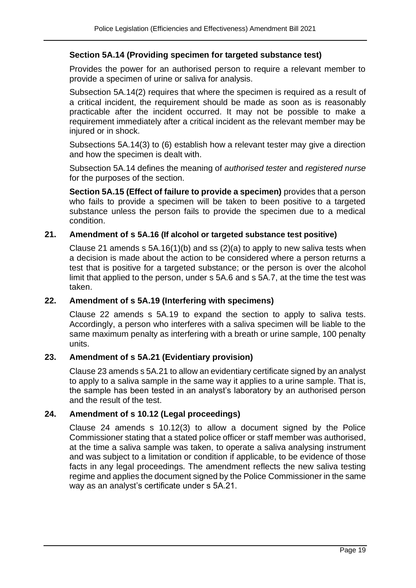#### **Section 5A.14 (Providing specimen for targeted substance test)**

Provides the power for an authorised person to require a relevant member to provide a specimen of urine or saliva for analysis.

Subsection 5A.14(2) requires that where the specimen is required as a result of a critical incident, the requirement should be made as soon as is reasonably practicable after the incident occurred. It may not be possible to make a requirement immediately after a critical incident as the relevant member may be injured or in shock.

Subsections 5A.14(3) to (6) establish how a relevant tester may give a direction and how the specimen is dealt with.

Subsection 5A.14 defines the meaning of *authorised tester* and *registered nurse* for the purposes of the section.

**Section 5A.15 (Effect of failure to provide a specimen)** provides that a person who fails to provide a specimen will be taken to been positive to a targeted substance unless the person fails to provide the specimen due to a medical condition.

#### **21. Amendment of s 5A.16 (If alcohol or targeted substance test positive)**

Clause 21 amends  $s$  5A.16(1)(b) and ss (2)(a) to apply to new saliva tests when a decision is made about the action to be considered where a person returns a test that is positive for a targeted substance; or the person is over the alcohol limit that applied to the person, under s 5A.6 and s 5A.7, at the time the test was taken.

#### **22. Amendment of s 5A.19 (Interfering with specimens)**

Clause 22 amends s 5A.19 to expand the section to apply to saliva tests. Accordingly, a person who interferes with a saliva specimen will be liable to the same maximum penalty as interfering with a breath or urine sample, 100 penalty units.

#### **23. Amendment of s 5A.21 (Evidentiary provision)**

Clause 23 amends s 5A.21 to allow an evidentiary certificate signed by an analyst to apply to a saliva sample in the same way it applies to a urine sample. That is, the sample has been tested in an analyst's laboratory by an authorised person and the result of the test.

#### **24. Amendment of s 10.12 (Legal proceedings)**

Clause 24 amends s 10.12(3) to allow a document signed by the Police Commissioner stating that a stated police officer or staff member was authorised, at the time a saliva sample was taken, to operate a saliva analysing instrument and was subject to a limitation or condition if applicable, to be evidence of those facts in any legal proceedings. The amendment reflects the new saliva testing regime and applies the document signed by the Police Commissioner in the same way as an analyst's certificate under s 5A.21.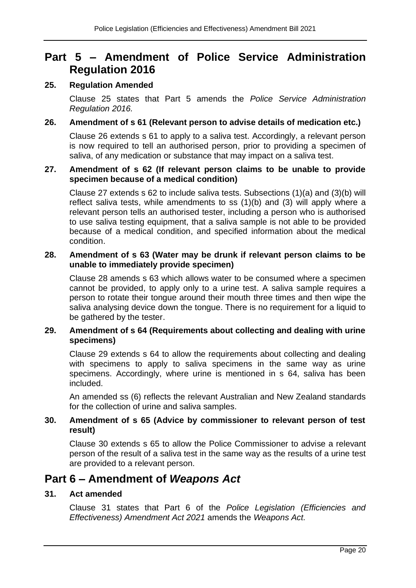# **Part 5 – Amendment of Police Service Administration Regulation 2016**

#### **25. Regulation Amended**

Clause 25 states that Part 5 amends the *Police Service Administration Regulation 2016.*

#### **26. Amendment of s 61 (Relevant person to advise details of medication etc.)**

Clause 26 extends s 61 to apply to a saliva test. Accordingly, a relevant person is now required to tell an authorised person, prior to providing a specimen of saliva, of any medication or substance that may impact on a saliva test.

#### **27. Amendment of s 62 (If relevant person claims to be unable to provide specimen because of a medical condition)**

Clause 27 extends s 62 to include saliva tests. Subsections (1)(a) and (3)(b) will reflect saliva tests, while amendments to ss (1)(b) and (3) will apply where a relevant person tells an authorised tester, including a person who is authorised to use saliva testing equipment, that a saliva sample is not able to be provided because of a medical condition, and specified information about the medical condition.

#### **28. Amendment of s 63 (Water may be drunk if relevant person claims to be unable to immediately provide specimen)**

Clause 28 amends s 63 which allows water to be consumed where a specimen cannot be provided, to apply only to a urine test. A saliva sample requires a person to rotate their tongue around their mouth three times and then wipe the saliva analysing device down the tongue. There is no requirement for a liquid to be gathered by the tester.

#### **29. Amendment of s 64 (Requirements about collecting and dealing with urine specimens)**

Clause 29 extends s 64 to allow the requirements about collecting and dealing with specimens to apply to saliva specimens in the same way as urine specimens. Accordingly, where urine is mentioned in s 64, saliva has been included.

An amended ss (6) reflects the relevant Australian and New Zealand standards for the collection of urine and saliva samples.

#### **30. Amendment of s 65 (Advice by commissioner to relevant person of test result)**

Clause 30 extends s 65 to allow the Police Commissioner to advise a relevant person of the result of a saliva test in the same way as the results of a urine test are provided to a relevant person.

# **Part 6 – Amendment of** *Weapons Act*

#### **31. Act amended**

Clause 31 states that Part 6 of the *Police Legislation (Efficiencies and Effectiveness) Amendment Act 2021* amends the *Weapons Act.*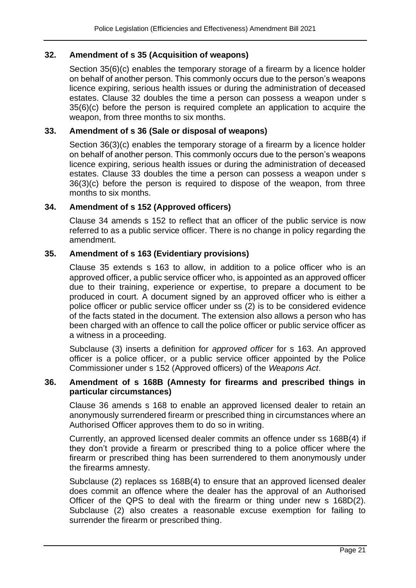#### **32. Amendment of s 35 (Acquisition of weapons)**

Section 35(6)(c) enables the temporary storage of a firearm by a licence holder on behalf of another person. This commonly occurs due to the person's weapons licence expiring, serious health issues or during the administration of deceased estates. Clause 32 doubles the time a person can possess a weapon under s 35(6)(c) before the person is required complete an application to acquire the weapon, from three months to six months.

#### **33. Amendment of s 36 (Sale or disposal of weapons)**

Section 36(3)(c) enables the temporary storage of a firearm by a licence holder on behalf of another person. This commonly occurs due to the person's weapons licence expiring, serious health issues or during the administration of deceased estates. Clause 33 doubles the time a person can possess a weapon under s 36(3)(c) before the person is required to dispose of the weapon, from three months to six months.

#### **34. Amendment of s 152 (Approved officers)**

Clause 34 amends s 152 to reflect that an officer of the public service is now referred to as a public service officer. There is no change in policy regarding the amendment.

#### **35. Amendment of s 163 (Evidentiary provisions)**

Clause 35 extends s 163 to allow, in addition to a police officer who is an approved officer, a public service officer who, is appointed as an approved officer due to their training, experience or expertise, to prepare a document to be produced in court. A document signed by an approved officer who is either a police officer or public service officer under ss (2) is to be considered evidence of the facts stated in the document. The extension also allows a person who has been charged with an offence to call the police officer or public service officer as a witness in a proceeding.

Subclause (3) inserts a definition for *approved officer* for s 163. An approved officer is a police officer, or a public service officer appointed by the Police Commissioner under s 152 (Approved officers) of the *Weapons Act*.

#### **36. Amendment of s 168B (Amnesty for firearms and prescribed things in particular circumstances)**

Clause 36 amends s 168 to enable an approved licensed dealer to retain an anonymously surrendered firearm or prescribed thing in circumstances where an Authorised Officer approves them to do so in writing.

Currently, an approved licensed dealer commits an offence under ss 168B(4) if they don't provide a firearm or prescribed thing to a police officer where the firearm or prescribed thing has been surrendered to them anonymously under the firearms amnesty.

Subclause (2) replaces ss 168B(4) to ensure that an approved licensed dealer does commit an offence where the dealer has the approval of an Authorised Officer of the QPS to deal with the firearm or thing under new s 168D(2). Subclause (2) also creates a reasonable excuse exemption for failing to surrender the firearm or prescribed thing.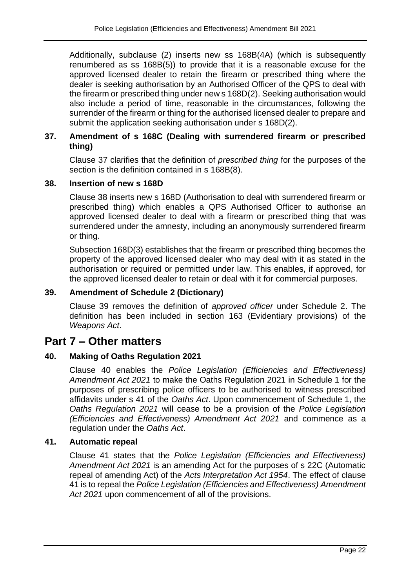Additionally, subclause (2) inserts new ss 168B(4A) (which is subsequently renumbered as ss 168B(5)) to provide that it is a reasonable excuse for the approved licensed dealer to retain the firearm or prescribed thing where the dealer is seeking authorisation by an Authorised Officer of the QPS to deal with the firearm or prescribed thing under new s 168D(2). Seeking authorisation would also include a period of time, reasonable in the circumstances, following the surrender of the firearm or thing for the authorised licensed dealer to prepare and submit the application seeking authorisation under s 168D(2).

## **37. Amendment of s 168C (Dealing with surrendered firearm or prescribed thing)**

Clause 37 clarifies that the definition of *prescribed thing* for the purposes of the section is the definition contained in s 168B(8).

#### **38. Insertion of new s 168D**

Clause 38 inserts new s 168D (Authorisation to deal with surrendered firearm or prescribed thing) which enables a QPS Authorised Officer to authorise an approved licensed dealer to deal with a firearm or prescribed thing that was surrendered under the amnesty, including an anonymously surrendered firearm or thing.

Subsection 168D(3) establishes that the firearm or prescribed thing becomes the property of the approved licensed dealer who may deal with it as stated in the authorisation or required or permitted under law. This enables, if approved, for the approved licensed dealer to retain or deal with it for commercial purposes.

#### **39. Amendment of Schedule 2 (Dictionary)**

Clause 39 removes the definition of *approved officer* under Schedule 2. The definition has been included in section 163 (Evidentiary provisions) of the *Weapons Act*.

## **Part 7 – Other matters**

## **40. Making of Oaths Regulation 2021**

Clause 40 enables the *Police Legislation (Efficiencies and Effectiveness) Amendment Act 2021* to make the Oaths Regulation 2021 in Schedule 1 for the purposes of prescribing police officers to be authorised to witness prescribed affidavits under s 41 of the *Oaths Act*. Upon commencement of Schedule 1, the *Oaths Regulation 2021* will cease to be a provision of the *Police Legislation (Efficiencies and Effectiveness) Amendment Act 2021* and commence as a regulation under the *Oaths Act*.

#### **41. Automatic repeal**

Clause 41 states that the *Police Legislation (Efficiencies and Effectiveness) Amendment Act 2021* is an amending Act for the purposes of s 22C (Automatic repeal of amending Act) of the *Acts Interpretation Act 1954*. The effect of clause 41 is to repeal the *Police Legislation (Efficiencies and Effectiveness) Amendment Act 2021* upon commencement of all of the provisions.